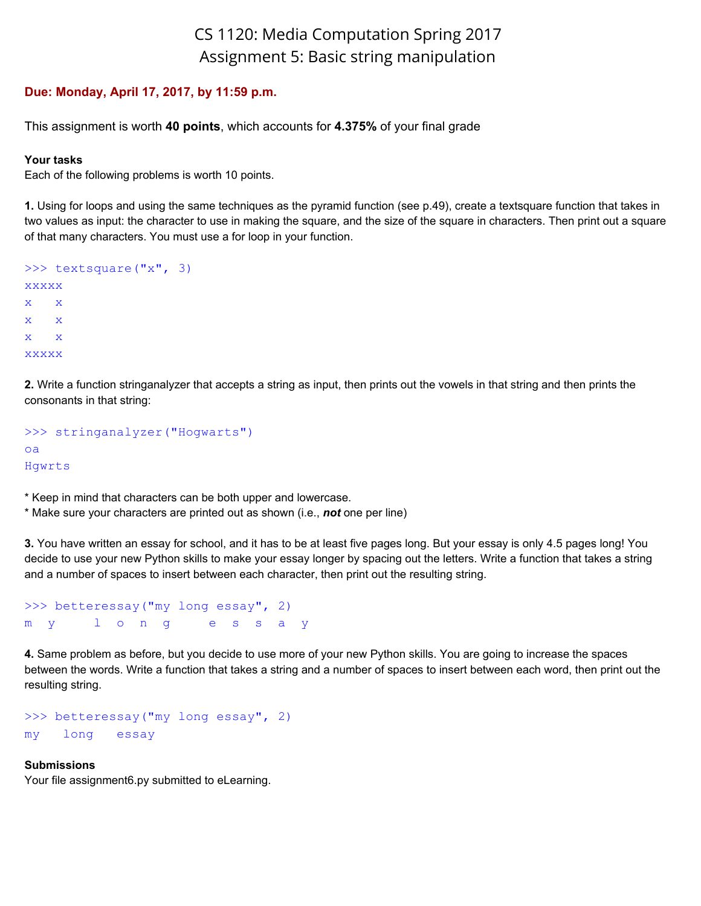## CS 1120: Media Computation Spring 2017 Assignment 5: Basic string manipulation

## **Due: Monday, April 17, 2017, by 11:59 p.m.**

This assignment is worth **40 points**, which accounts for **4.375%** of your final grade

## **Your tasks**

Each of the following problems is worth 10 points.

**1.** Using for loops and using the same techniques as the pyramid function (see p.49), create a textsquare function that takes in two values as input: the character to use in making the square, and the size of the square in characters. Then print out a square of that many characters. You must use a for loop in your function.

```
>>> textsquare("x", 3)
xxxxx
x x
x x
x x
xxxxx
```
**2.** Write a function stringanalyzer that accepts a string as input, then prints out the vowels in that string and then prints the consonants in that string:

```
>>> stringanalyzer("Hogwarts")
oa
Hgwrts
```
\* Keep in mind that characters can be both upper and lowercase.

\* Make sure your characters are printed out as shown (i.e., *not* one per line)

**3.** You have written an essay for school, and it has to be at least five pages long. But your essay is only 4.5 pages long! You decide to use your new Python skills to make your essay longer by spacing out the letters. Write a function that takes a string and a number of spaces to insert between each character, then print out the resulting string.

```
>>> betteressay("my long essay", 2)
m y l o n g e s s a y
```
**4.** Same problem as before, but you decide to use more of your new Python skills. You are going to increase the spaces between the words. Write a function that takes a string and a number of spaces to insert between each word, then print out the resulting string.

>>> betteressay("my long essay", 2) my long essay

## **Submissions**

Your file assignment6.py submitted to eLearning.